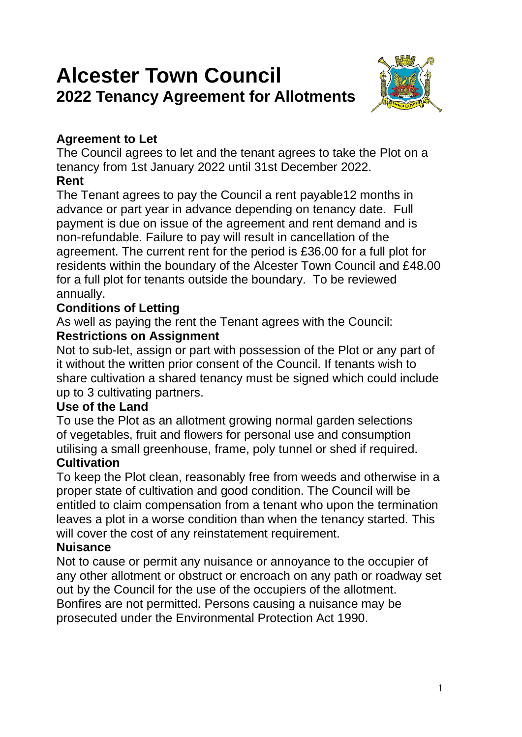# **Alcester Town Council 2022 Tenancy Agreement for Allotments**



## **Agreement to Let**

The Council agrees to let and the tenant agrees to take the Plot on a tenancy from 1st January 2022 until 31st December 2022. **Rent**

The Tenant agrees to pay the Council a rent payable12 months in advance or part year in advance depending on tenancy date. Full payment is due on issue of the agreement and rent demand and is non-refundable. Failure to pay will result in cancellation of the agreement. The current rent for the period is £36.00 for a full plot for residents within the boundary of the Alcester Town Council and £48.00 for a full plot for tenants outside the boundary. To be reviewed annually.

## **Conditions of Letting**

As well as paying the rent the Tenant agrees with the Council: **Restrictions on Assignment**

Not to sub-let, assign or part with possession of the Plot or any part of it without the written prior consent of the Council. If tenants wish to share cultivation a shared tenancy must be signed which could include up to 3 cultivating partners.

## **Use of the Land**

To use the Plot as an allotment growing normal garden selections of vegetables, fruit and flowers for personal use and consumption utilising a small greenhouse, frame, poly tunnel or shed if required.

## **Cultivation**

To keep the Plot clean, reasonably free from weeds and otherwise in a proper state of cultivation and good condition. The Council will be entitled to claim compensation from a tenant who upon the termination leaves a plot in a worse condition than when the tenancy started. This will cover the cost of any reinstatement requirement.

## **Nuisance**

Not to cause or permit any nuisance or annoyance to the occupier of any other allotment or obstruct or encroach on any path or roadway set out by the Council for the use of the occupiers of the allotment. Bonfires are not permitted. Persons causing a nuisance may be prosecuted under the Environmental Protection Act 1990.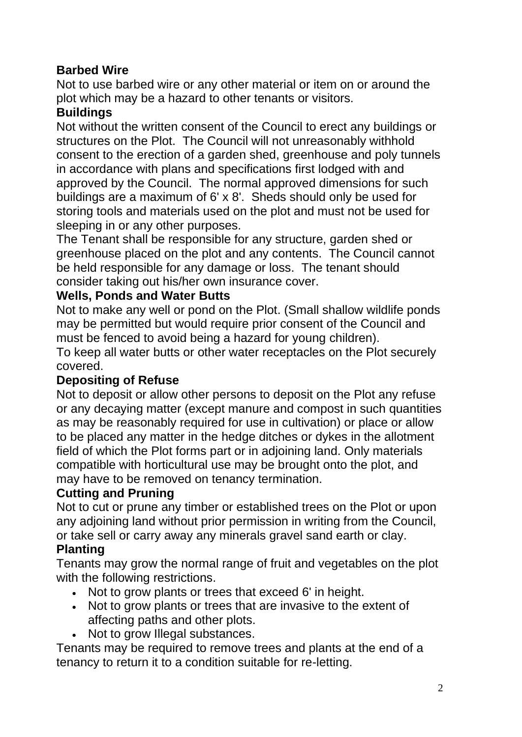## **Barbed Wire**

Not to use barbed wire or any other material or item on or around the plot which may be a hazard to other tenants or visitors.

## **Buildings**

Not without the written consent of the Council to erect any buildings or structures on the Plot. The Council will not unreasonably withhold consent to the erection of a garden shed, greenhouse and poly tunnels in accordance with plans and specifications first lodged with and approved by the Council. The normal approved dimensions for such buildings are a maximum of 6' x 8'. Sheds should only be used for storing tools and materials used on the plot and must not be used for sleeping in or any other purposes.

The Tenant shall be responsible for any structure, garden shed or greenhouse placed on the plot and any contents. The Council cannot be held responsible for any damage or loss. The tenant should consider taking out his/her own insurance cover.

## **Wells, Ponds and Water Butts**

Not to make any well or pond on the Plot. (Small shallow wildlife ponds may be permitted but would require prior consent of the Council and must be fenced to avoid being a hazard for young children).

To keep all water butts or other water receptacles on the Plot securely covered.

## **Depositing of Refuse**

Not to deposit or allow other persons to deposit on the Plot any refuse or any decaying matter (except manure and compost in such quantities as may be reasonably required for use in cultivation) or place or allow to be placed any matter in the hedge ditches or dykes in the allotment field of which the Plot forms part or in adjoining land. Only materials compatible with horticultural use may be brought onto the plot, and may have to be removed on tenancy termination.

#### **Cutting and Pruning**

Not to cut or prune any timber or established trees on the Plot or upon any adjoining land without prior permission in writing from the Council, or take sell or carry away any minerals gravel sand earth or clay.

## **Planting**

Tenants may grow the normal range of fruit and vegetables on the plot with the following restrictions.

- Not to grow plants or trees that exceed 6' in height.
- Not to grow plants or trees that are invasive to the extent of affecting paths and other plots.
- Not to grow Illegal substances.

Tenants may be required to remove trees and plants at the end of a tenancy to return it to a condition suitable for re-letting.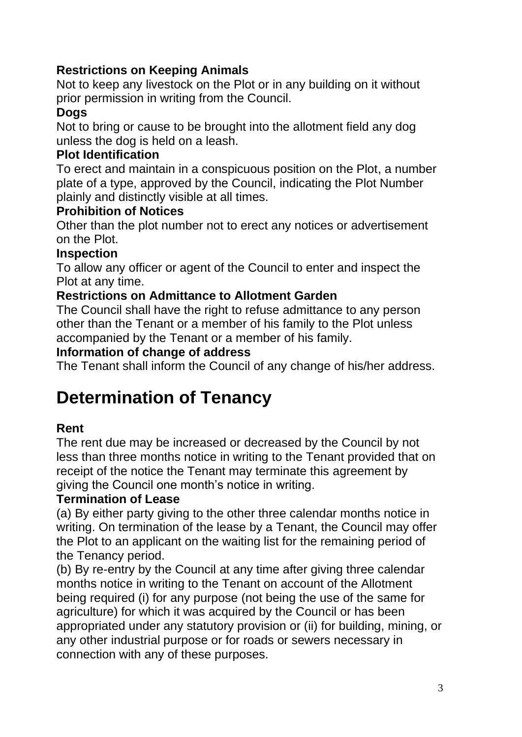## **Restrictions on Keeping Animals**

Not to keep any livestock on the Plot or in any building on it without prior permission in writing from the Council.

## **Dogs**

Not to bring or cause to be brought into the allotment field any dog unless the dog is held on a leash.

### **Plot Identification**

To erect and maintain in a conspicuous position on the Plot, a number plate of a type, approved by the Council, indicating the Plot Number plainly and distinctly visible at all times.

#### **Prohibition of Notices**

Other than the plot number not to erect any notices or advertisement on the Plot.

#### **Inspection**

To allow any officer or agent of the Council to enter and inspect the Plot at any time.

#### **Restrictions on Admittance to Allotment Garden**

The Council shall have the right to refuse admittance to any person other than the Tenant or a member of his family to the Plot unless accompanied by the Tenant or a member of his family.

#### **Information of change of address**

The Tenant shall inform the Council of any change of his/her address.

## **Determination of Tenancy**

## **Rent**

The rent due may be increased or decreased by the Council by not less than three months notice in writing to the Tenant provided that on receipt of the notice the Tenant may terminate this agreement by giving the Council one month's notice in writing.

#### **Termination of Lease**

(a) By either party giving to the other three calendar months notice in writing. On termination of the lease by a Tenant, the Council may offer the Plot to an applicant on the waiting list for the remaining period of the Tenancy period.

(b) By re-entry by the Council at any time after giving three calendar months notice in writing to the Tenant on account of the Allotment being required (i) for any purpose (not being the use of the same for agriculture) for which it was acquired by the Council or has been appropriated under any statutory provision or (ii) for building, mining, or any other industrial purpose or for roads or sewers necessary in connection with any of these purposes.